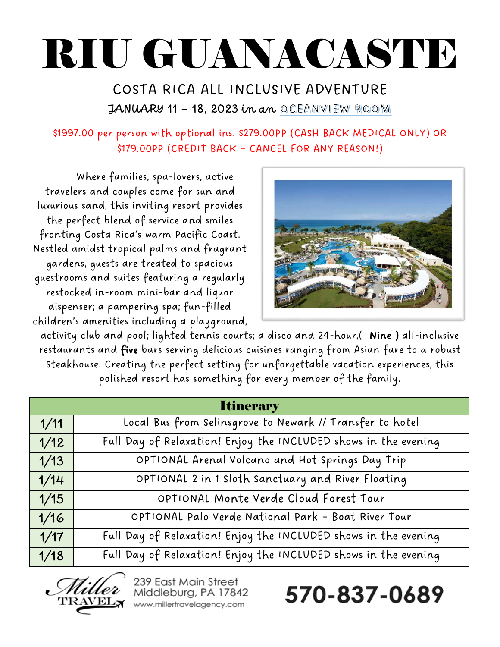# RIU GUANACASTE

# COSTA RICA ALL INCLUSIVE ADVENTURE JANUARY 11 - 18, 2023 in an OCEANVIEW ROOM

# \$1997.00 per person with optional ins. \$279.00PP (CASH BACK MEDICAL ONLY) OR \$179.00PP (CREDIT BACK – CANCEL FOR ANY REASON!)

Where families, spa-lovers, active travelers and couples come for sun and luxurious sand, this inviting resort provides the perfect blend of service and smiles fronting Costa Rica's warm Pacific Coast. Nestled amidst tropical palms and fragrant gardens, guests are treated to spacious guestrooms and suites featuring a regularly restocked in-room mini-bar and liquor dispenser; a pampering spa; fun-filled children's amenities including a playground,



activity club and pool; lighted tennis courts; a disco and 24-hour,( Nine ) all-inclusive restaurants and five bars serving delicious cuisines ranging from Asian fare to a robust Steakhouse. Creating the perfect setting for unforgettable vacation experiences, this polished resort has something for every member of the family.

| <b>Itinerary</b> |                                                                 |
|------------------|-----------------------------------------------------------------|
| 1/11             | Local Bus from Selinsgrove to Newark // Transfer to hotel       |
| 1/12             | Full Day of Relaxation! Enjoy the INCLUDED shows in the evening |
| 1/13             | OPTIONAL Arenal Volcano and Hot Springs Day Trip                |
| 1/14             | OPTIONAL 2 in 1 Sloth Sanctuary and River Floating              |
| 1/15             | OPTIONAL Monte Verde Cloud Forest Tour                          |
| 1/16             | OPTIONAL Palo Verde National Park - Boat River Tour             |
| 1/17             | Full Day of Relaxation! Enjoy the INCLUDED shows in the evening |
| 1/18             | Full Day of Relaxation! Enjoy the INCLUDED shows in the evening |



239 East Main Street Middleburg, PA 17842 www.millertravelagency.com